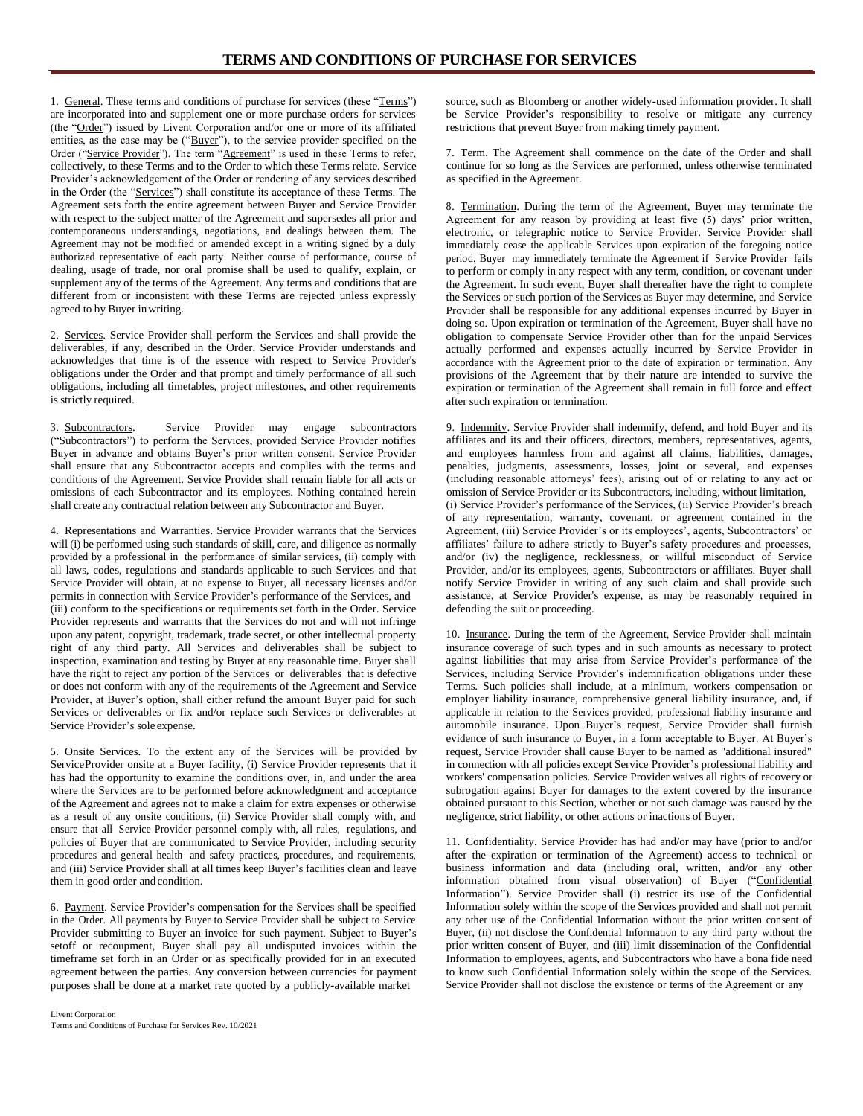1. General. These terms and conditions of purchase for services (these "Terms") are incorporated into and supplement one or more purchase orders for services (the "Order") issued by Livent Corporation and/or one or more of its affiliated entities, as the case may be ("Buyer"), to the service provider specified on the Order ("Service Provider"). The term "Agreement" is used in these Terms to refer, collectively, to these Terms and to the Order to which these Terms relate. Service Provider's acknowledgement of the Order or rendering of any services described in the Order (the "Services") shall constitute its acceptance of these Terms. The Agreement sets forth the entire agreement between Buyer and Service Provider with respect to the subject matter of the Agreement and supersedes all prior and contemporaneous understandings, negotiations, and dealings between them. The Agreement may not be modified or amended except in a writing signed by a duly authorized representative of each party. Neither course of performance, course of dealing, usage of trade, nor oral promise shall be used to qualify, explain, or supplement any of the terms of the Agreement. Any terms and conditions that are different from or inconsistent with these Terms are rejected unless expressly agreed to by Buyer inwriting.

2. Services. Service Provider shall perform the Services and shall provide the deliverables, if any, described in the Order. Service Provider understands and acknowledges that time is of the essence with respect to Service Provider's obligations under the Order and that prompt and timely performance of all such obligations, including all timetables, project milestones, and other requirements is strictly required.

3. Subcontractors. Service Provider may engage subcontractors ("Subcontractors") to perform the Services, provided Service Provider notifies Buyer in advance and obtains Buyer's prior written consent. Service Provider shall ensure that any Subcontractor accepts and complies with the terms and conditions of the Agreement. Service Provider shall remain liable for all acts or omissions of each Subcontractor and its employees. Nothing contained herein shall create any contractual relation between any Subcontractor and Buyer.

4. Representations and Warranties. Service Provider warrants that the Services will (i) be performed using such standards of skill, care, and diligence as normally provided by a professional in the performance of similar services, (ii) comply with all laws, codes, regulations and standards applicable to such Services and that Service Provider will obtain, at no expense to Buyer, all necessary licenses and/or permits in connection with Service Provider's performance of the Services, and (iii) conform to the specifications or requirements set forth in the Order. Service Provider represents and warrants that the Services do not and will not infringe upon any patent, copyright, trademark, trade secret, or other intellectual property right of any third party. All Services and deliverables shall be subject to inspection, examination and testing by Buyer at any reasonable time. Buyer shall have the right to reject any portion of the Services or deliverables that is defective or does not conform with any of the requirements of the Agreement and Service Provider, at Buyer's option, shall either refund the amount Buyer paid for such Services or deliverables or fix and/or replace such Services or deliverables at Service Provider's sole expense.

5. Onsite Services. To the extent any of the Services will be provided by ServiceProvider onsite at a Buyer facility, (i) Service Provider represents that it has had the opportunity to examine the conditions over, in, and under the area where the Services are to be performed before acknowledgment and acceptance of the Agreement and agrees not to make a claim for extra expenses or otherwise as a result of any onsite conditions, (ii) Service Provider shall comply with, and ensure that all Service Provider personnel comply with, all rules, regulations, and policies of Buyer that are communicated to Service Provider, including security procedures and general health and safety practices, procedures, and requirements, and (iii) Service Provider shall at all times keep Buyer's facilities clean and leave them in good order and condition.

6. Payment. Service Provider's compensation for the Services shall be specified in the Order. All payments by Buyer to Service Provider shall be subject to Service Provider submitting to Buyer an invoice for such payment. Subject to Buyer's setoff or recoupment, Buyer shall pay all undisputed invoices within the timeframe set forth in an Order or as specifically provided for in an executed agreement between the parties. Any conversion between currencies for payment purposes shall be done at a market rate quoted by a publicly-available market

source, such as Bloomberg or another widely-used information provider. It shall be Service Provider's responsibility to resolve or mitigate any currency restrictions that prevent Buyer from making timely payment.

7. Term. The Agreement shall commence on the date of the Order and shall continue for so long as the Services are performed, unless otherwise terminated as specified in the Agreement.

8. Termination. During the term of the Agreement, Buyer may terminate the Agreement for any reason by providing at least five (5) days' prior written, electronic, or telegraphic notice to Service Provider. Service Provider shall immediately cease the applicable Services upon expiration of the foregoing notice period. Buyer may immediately terminate the Agreement if Service Provider fails to perform or comply in any respect with any term, condition, or covenant under the Agreement. In such event, Buyer shall thereafter have the right to complete the Services or such portion of the Services as Buyer may determine, and Service Provider shall be responsible for any additional expenses incurred by Buyer in doing so. Upon expiration or termination of the Agreement, Buyer shall have no obligation to compensate Service Provider other than for the unpaid Services actually performed and expenses actually incurred by Service Provider in accordance with the Agreement prior to the date of expiration or termination. Any provisions of the Agreement that by their nature are intended to survive the expiration or termination of the Agreement shall remain in full force and effect after such expiration or termination.

9. Indemnity. Service Provider shall indemnify, defend, and hold Buyer and its affiliates and its and their officers, directors, members, representatives, agents, and employees harmless from and against all claims, liabilities, damages, penalties, judgments, assessments, losses, joint or several, and expenses (including reasonable attorneys' fees), arising out of or relating to any act or omission of Service Provider or its Subcontractors, including, without limitation, (i) Service Provider's performance of the Services, (ii) Service Provider's breach of any representation, warranty, covenant, or agreement contained in the Agreement, (iii) Service Provider's or its employees', agents, Subcontractors' or affiliates' failure to adhere strictly to Buyer's safety procedures and processes, and/or (iv) the negligence, recklessness, or willful misconduct of Service Provider, and/or its employees, agents, Subcontractors or affiliates. Buyer shall notify Service Provider in writing of any such claim and shall provide such assistance, at Service Provider's expense, as may be reasonably required in defending the suit or proceeding.

10. Insurance. During the term of the Agreement, Service Provider shall maintain insurance coverage of such types and in such amounts as necessary to protect against liabilities that may arise from Service Provider's performance of the Services, including Service Provider's indemnification obligations under these Terms. Such policies shall include, at a minimum, workers compensation or employer liability insurance, comprehensive general liability insurance, and, if applicable in relation to the Services provided, professional liability insurance and automobile insurance. Upon Buyer's request, Service Provider shall furnish evidence of such insurance to Buyer, in a form acceptable to Buyer. At Buyer's request, Service Provider shall cause Buyer to be named as "additional insured" in connection with all policies except Service Provider's professional liability and workers' compensation policies. Service Provider waives all rights of recovery or subrogation against Buyer for damages to the extent covered by the insurance obtained pursuant to this Section, whether or not such damage was caused by the negligence, strict liability, or other actions or inactions of Buyer.

11. Confidentiality. Service Provider has had and/or may have (prior to and/or after the expiration or termination of the Agreement) access to technical or business information and data (including oral, written, and/or any other information obtained from visual observation) of Buyer ("Confidential Information"). Service Provider shall (i) restrict its use of the Confidential Information solely within the scope of the Services provided and shall not permit any other use of the Confidential Information without the prior written consent of Buyer, (ii) not disclose the Confidential Information to any third party without the prior written consent of Buyer, and (iii) limit dissemination of the Confidential Information to employees, agents, and Subcontractors who have a bona fide need to know such Confidential Information solely within the scope of the Services. Service Provider shall not disclose the existence or terms of the Agreement or any